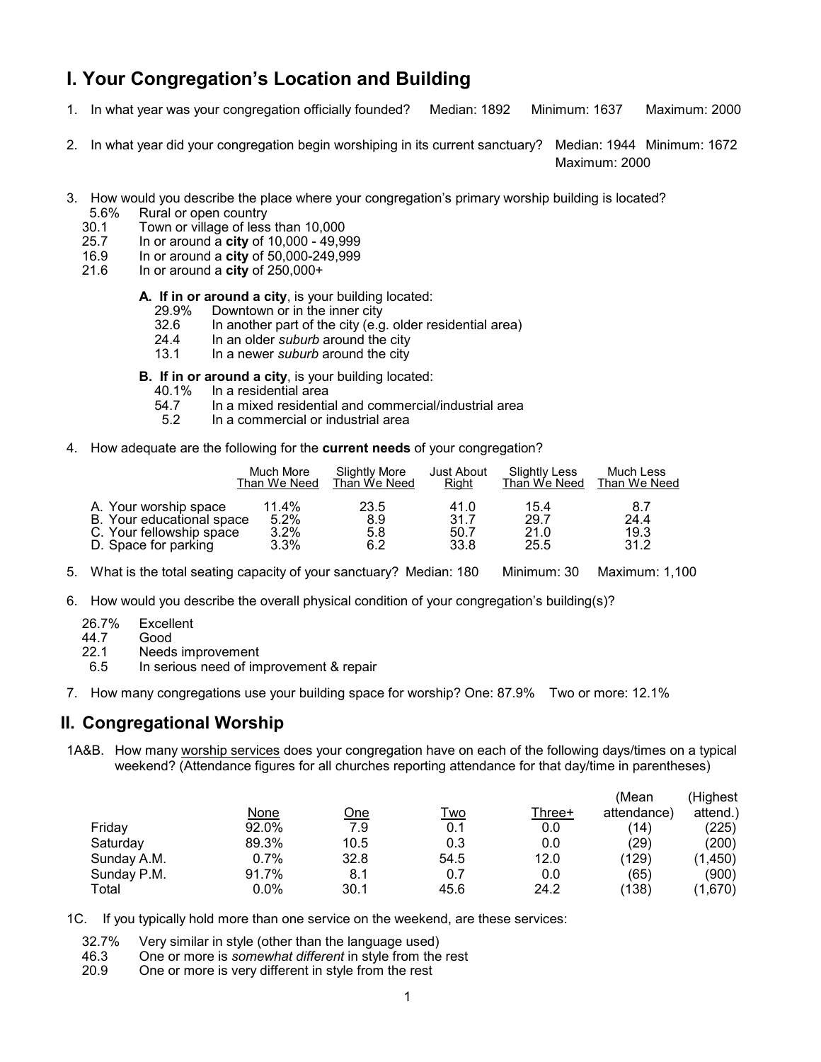# **I. Your Congregation's Location and Building**

- 1. In what year was your congregation officially founded? Median: 1892 Minimum: 1637 Maximum: 2000
- 2. In what year did your congregation begin worshiping in its current sanctuary? Median: 1944 Minimum: 1672

Maximum: 2000

- 3. How would you describe the place where your congregationís primary worship building is located? 5.6% Rural or open country
	-
	- 30.1 Town or village of less than  $10,000$ <br>25.7 In or around a **city** of  $10.000 49.99$ 25.7 In or around a **city** of 10,000 - 49,999
	- 16.9 In or around a **city** of 50,000-249,999
	- 21.6 In or around a **city** of 250,000+

#### **A. If in or around a city**, is your building located:

- 29.9% Downtown or in the inner city
- 32.6 In another part of the city (e.g. older residential area)
- 24.4 In an older *suburb* around the city
- 13.1 In a newer *suburb* around the city

**B. If in or around a city**, is your building located:<br>40.1% In a residential area

- 40.1% In a residential area
- 4.7 In a mixed residential and commercial/industrial area<br>5.2 In a commercial or industrial area
- In a commercial or industrial area
- 4. How adequate are the following for the **current needs** of your congregation?

|                           | Much More    | Slightly More | <b>Just About</b> | Slightly Less | Much Less    |
|---------------------------|--------------|---------------|-------------------|---------------|--------------|
|                           | Than We Need | Than We Need  | Right             | Than We Need  | Than We Need |
| A. Your worship space     | 11.4%        | 23.5          | 41.0              | 15.4          | 8.7          |
| B. Your educational space | 5.2%         | 8.9           | 31.7              | 29.7          | 24.4         |
| C. Your fellowship space  | 3.2%         | 5.8           | 50.7              | 21.0          | 19.3         |
| D. Space for parking      | 3.3%         | 6.2           | 33.8              | 25.5          | 31.2         |

- 5. What is the total seating capacity of your sanctuary? Median: 180 Minimum: 30 Maximum: 1,100
- 6. How would you describe the overall physical condition of your congregationís building(s)?
	- 26.7% Excellent
	- 44.7 Good
	- 22.1 Needs improvement
	- 6.5 In serious need of improvement & repair
- 7. How many congregations use your building space for worship? One: 87.9% Two or more: 12.1%

### **II. Congregational Worship**

1A&B. How many worship services does your congregation have on each of the following days/times on a typical weekend? (Attendance figures for all churches reporting attendance for that day/time in parentheses)

|       |            |            |        | (Mean       | (Highest |
|-------|------------|------------|--------|-------------|----------|
| None  | <u>One</u> | <u>Two</u> | Three+ | attendance) | attend.) |
| 92.0% | 7.9        | 0.1        | 0.0    | (14)        | (225)    |
| 89.3% | 10.5       | 0.3        | 0.0    | (29)        | (200)    |
| 0.7%  | 32.8       | 54.5       | 12.0   | (129)       | (1,450)  |
| 91.7% | 8.1        | 0.7        | 0.0    | (65)        | (900)    |
| 0.0%  | 30.1       | 45.6       | 24.2   | (138)       | (1,670)  |
|       |            |            |        |             |          |

1C. If you typically hold more than one service on the weekend, are these services:

- 32.7% Very similar in style (other than the language used)
- 46.3 One or more is *somewhat different* in style from the rest
- 20.9 One or more is very different in style from the rest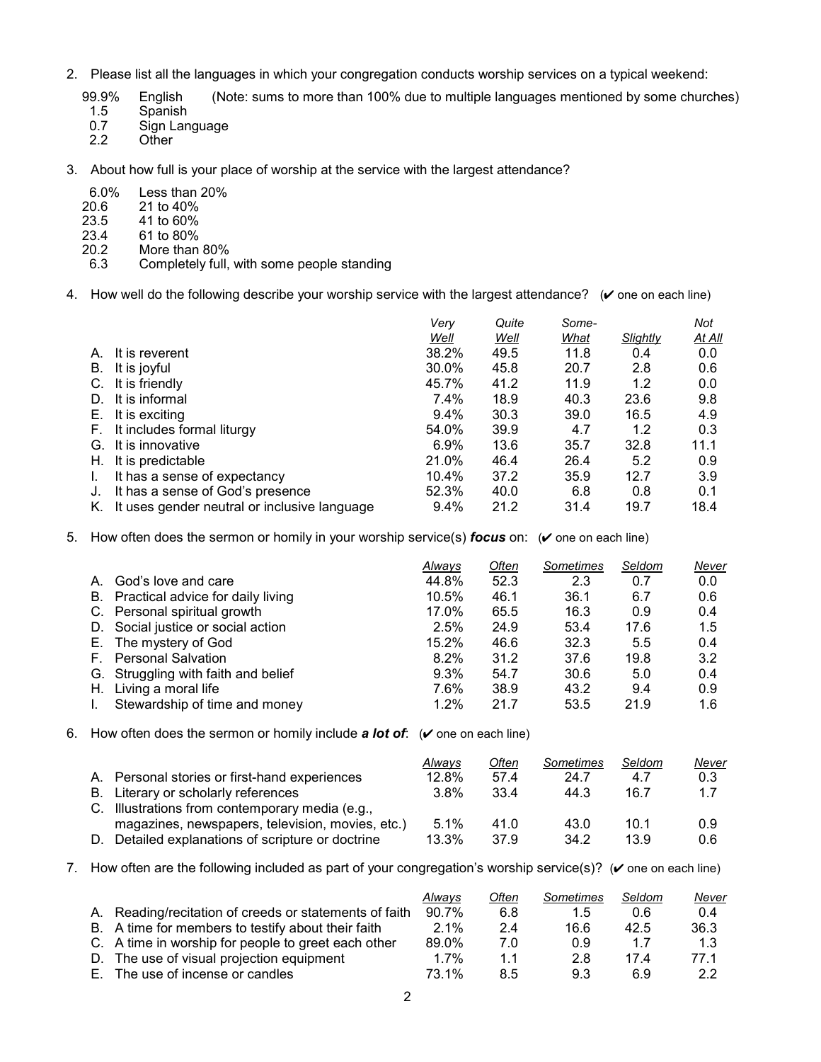- 2. Please list all the languages in which your congregation conducts worship services on a typical weekend:
	- 99.9% English (Note: sums to more than 100% due to multiple languages mentioned by some churches)<br>1.5 Spanish
	- 1.5 Spanish<br>0.7 Sign Lan
	- 0.7 Sign Language<br>2.2 Other
	- Other
- 3. About how full is your place of worship at the service with the largest attendance?
	- 6.0% Less than 20%
	- 20.6 21 to 40%<br>23.5 41 to 60%
	- 23.5 41 to 60%<br>23.4 61 to 80%
	- 23.4 61 to 80%
	- More than 80%
	- 6.3 Completely full, with some people standing
- 4. How well do the following describe your worship service with the largest attendance?  $($   $\vee$  one on each line)

|    |                                              | Very  | Quite | Some- |          | Not           |
|----|----------------------------------------------|-------|-------|-------|----------|---------------|
|    |                                              | Well  | Well  | What  | Slightly | <u>At All</u> |
|    | It is reverent                               | 38.2% | 49.5  | 11.8  | 0.4      | 0.0           |
| В. | It is joyful                                 | 30.0% | 45.8  | 20.7  | 2.8      | 0.6           |
|    | It is friendly                               | 45.7% | 41.2  | 11.9  | 1.2      | 0.0           |
| D. | It is informal                               | 7.4%  | 18.9  | 40.3  | 23.6     | 9.8           |
| Е. | It is exciting                               | 9.4%  | 30.3  | 39.0  | 16.5     | 4.9           |
|    | It includes formal liturgy                   | 54.0% | 39.9  | 4.7   | 1.2      | 0.3           |
| G. | It is innovative                             | 6.9%  | 13.6  | 35.7  | 32.8     | 11.1          |
| Н. | It is predictable                            | 21.0% | 46.4  | 26.4  | 5.2      | 0.9           |
|    | It has a sense of expectancy                 | 10.4% | 37.2  | 35.9  | 12.7     | 3.9           |
|    | It has a sense of God's presence             | 52.3% | 40.0  | 6.8   | 0.8      | 0.1           |
|    | It uses gender neutral or inclusive language | 9.4%  | 21.2  | 31.4  | 19.7     | 18.4          |

5. How often does the sermon or homily in your worship service(s) *focus* on: ( $\vee$  one on each line)

|                                      | Always | Often | Sometimes | Seldom | Never |
|--------------------------------------|--------|-------|-----------|--------|-------|
| A. God's love and care               | 44.8%  | 52.3  | 2.3       | 0.7    | 0.0   |
| B. Practical advice for daily living | 10.5%  | 46.1  | 36.1      | 6.7    | 0.6   |
| C. Personal spiritual growth         | 17.0%  | 65.5  | 16.3      | 0.9    | 0.4   |
| D. Social justice or social action   | 2.5%   | 24.9  | 53.4      | 17.6   | 1.5   |
| E. The mystery of God                | 15.2%  | 46.6  | 32.3      | 5.5    | 0.4   |
| F. Personal Salvation                | 8.2%   | 31.2  | 37.6      | 19.8   | 3.2   |
| G. Struggling with faith and belief  | 9.3%   | 54.7  | 30.6      | 5.0    | 0.4   |
| H. Living a moral life               | 7.6%   | 38.9  | 43.2      | 9.4    | 0.9   |
| Stewardship of time and money        | 1.2%   | 21.7  | 53.5      | 21.9   | 1.6   |

6. How often does the sermon or homily include **a lot of**:  $(\vee$  one on each line)

|                                                  | Always | Often | Sometimes | Seldom | <u>Never</u> |
|--------------------------------------------------|--------|-------|-----------|--------|--------------|
| A. Personal stories or first-hand experiences    | 12.8%  | 57.4  | 24.7      | 4.7    | 0.3          |
| B. Literary or scholarly references              | 3.8%   | 33.4  | 44.3      | 16.7   | 1.7          |
| C. Illustrations from contemporary media (e.g.,  |        |       |           |        |              |
| magazines, newspapers, television, movies, etc.) | 5.1%   | 41.0  | 43.0      | 10.1   | 0.9          |
| Detailed explanations of scripture or doctrine   | 13.3%  | 37.9  | 34.2      | 13.9   | 0.6          |

7. How often are the following included as part of your congregation's worship service(s)? ( $\vee$  one on each line)

|                                                        | Always | Often | Sometimes     | Seldom | Never |
|--------------------------------------------------------|--------|-------|---------------|--------|-------|
| A. Reading/recitation of creeds or statements of faith | 90.7%  | 6.8   | $1.5^{\circ}$ | 0.6    | 0.4   |
| B. A time for members to testify about their faith     | 2.1%   | 2.4   | 16.6          | 42.5   | 36.3  |
| C. A time in worship for people to greet each other    | 89.0%  | 7.0   | 0.9           | 17     | 1.3   |
| D. The use of visual projection equipment              | 1.7%   | 1.1   | 2.8           | 174    | 77.1  |
| E. The use of incense or candles                       | 73.1%  | 8.5   | 9.3           | 6 Զ    | 2.2   |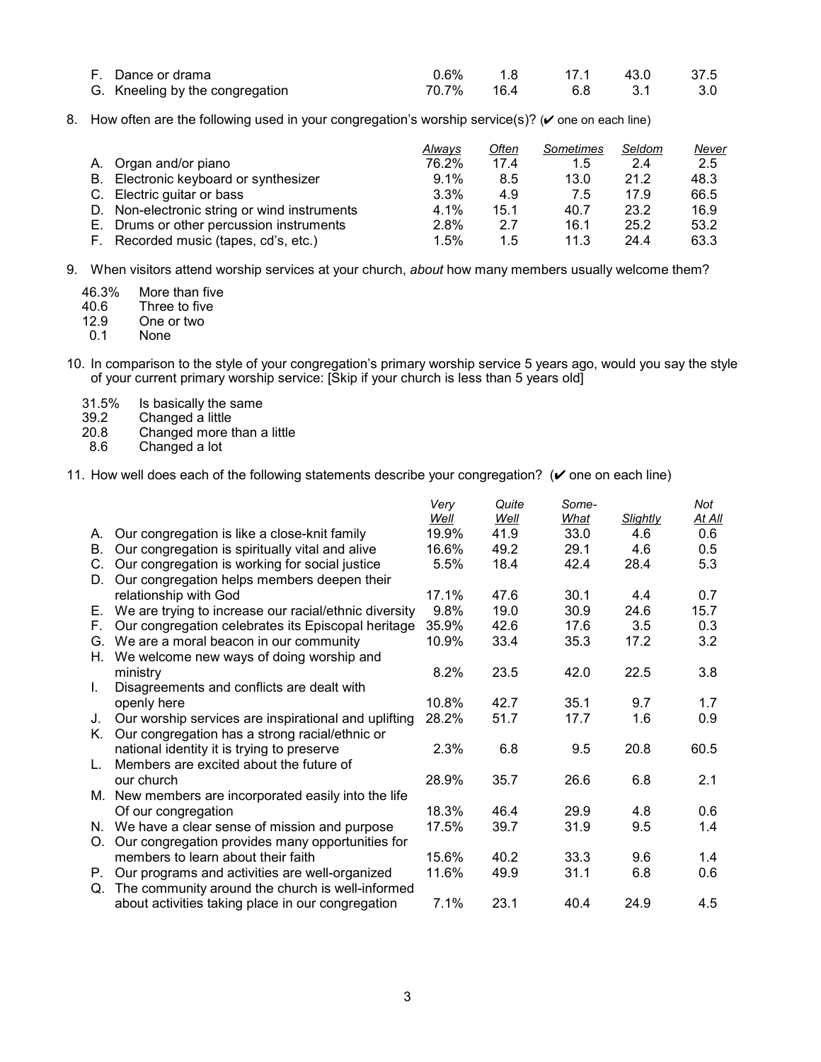| F. Dance or drama               |  | 0.6% 1.8 17.1 43.0 37.5 |     |
|---------------------------------|--|-------------------------|-----|
| G. Kneeling by the congregation |  | 70.7% 16.4 6.8 3.1      | 3.0 |

8. How often are the following used in your congregation's worship service(s)? ( $\checkmark$  one on each line)

|                                              | Always  | Often | Sometimes | Seldom | <u>Never</u> |
|----------------------------------------------|---------|-------|-----------|--------|--------------|
| A. Organ and/or piano                        | 76.2%   | 17.4  | 1.5       | 2.4    | 2.5          |
| B. Electronic keyboard or synthesizer        | 9.1%    | 8.5   | 13.0      | 21.2   | 48.3         |
| C. Electric guitar or bass                   | 3.3%    | 4.9   | 7.5       | 17.9   | 66.5         |
| D. Non-electronic string or wind instruments | 4.1%    | 15.1  | 40.7      | 23.2   | 16.9         |
| E. Drums or other percussion instruments     | 2.8%    | 2.7   | 16.1      | 25.2   | 53.2         |
| F. Recorded music (tapes, cd's, etc.)        | $1.5\%$ | 1.5   | 11.3      | 244    | 63.3         |

9. When visitors attend worship services at your church, *about* how many members usually welcome them?

| 46.3% | More than five      |
|-------|---------------------|
| 10 Q  | Thus on to find the |

40.6 Three to five

- 12.9 One or two<br>0.1 None None
- 
- 10. In comparison to the style of your congregationís primary worship service 5 years ago, would you say the style of your current primary worship service: [Skip if your church is less than 5 years old]
	- 31.5% Is basically the same<br>39.2 Changed a little
	- 39.2 Changed a little<br>20.8 Changed more t
	- 20.8 Changed more than a little<br>8.6 Changed a lot
	- Changed a lot
- 11. How well does each of the following statements describe your congregation?  $(V$  one on each line)

|      |                                                          | Verv  | Quite | Some-       |          | Not    |
|------|----------------------------------------------------------|-------|-------|-------------|----------|--------|
|      |                                                          | Well  | Well  | <u>What</u> | Slightly | At All |
| А.   | Our congregation is like a close-knit family             | 19.9% | 41.9  | 33.0        | 4.6      | 0.6    |
| В.   | Our congregation is spiritually vital and alive          | 16.6% | 49.2  | 29.1        | 4.6      | 0.5    |
| C.   | Our congregation is working for social justice           | 5.5%  | 18.4  | 42.4        | 28.4     | 5.3    |
| D.   | Our congregation helps members deepen their              |       |       |             |          |        |
|      | relationship with God                                    | 17.1% | 47.6  | 30.1        | 4.4      | 0.7    |
|      | E. We are trying to increase our racial/ethnic diversity | 9.8%  | 19.0  | 30.9        | 24.6     | 15.7   |
| F.   | Our congregation celebrates its Episcopal heritage       | 35.9% | 42.6  | 17.6        | 3.5      | 0.3    |
|      | G. We are a moral beacon in our community                | 10.9% | 33.4  | 35.3        | 17.2     | 3.2    |
| Н.   | We welcome new ways of doing worship and                 |       |       |             |          |        |
|      | ministry                                                 | 8.2%  | 23.5  | 42.0        | 22.5     | 3.8    |
| L.   | Disagreements and conflicts are dealt with               |       |       |             |          |        |
|      | openly here                                              | 10.8% | 42.7  | 35.1        | 9.7      | 1.7    |
| J.   | Our worship services are inspirational and uplifting     | 28.2% | 51.7  | 17.7        | 1.6      | 0.9    |
| K. . | Our congregation has a strong racial/ethnic or           |       |       |             |          |        |
|      | national identity it is trying to preserve               | 2.3%  | 6.8   | 9.5         | 20.8     | 60.5   |
|      | Members are excited about the future of                  |       |       |             |          |        |
|      | our church                                               | 28.9% | 35.7  | 26.6        | 6.8      | 2.1    |
|      | M. New members are incorporated easily into the life     |       |       |             |          |        |
|      | Of our congregation                                      | 18.3% | 46.4  | 29.9        | 4.8      | 0.6    |
|      | N. We have a clear sense of mission and purpose          | 17.5% | 39.7  | 31.9        | 9.5      | 1.4    |
|      | O. Our congregation provides many opportunities for      |       |       |             |          |        |
|      | members to learn about their faith                       | 15.6% | 40.2  | 33.3        | 9.6      | 1.4    |
|      | P. Our programs and activities are well-organized        | 11.6% | 49.9  | 31.1        | 6.8      | 0.6    |
|      | Q. The community around the church is well-informed      |       |       |             |          |        |
|      | about activities taking place in our congregation        | 7.1%  | 23.1  | 40.4        | 24.9     | 4.5    |
|      |                                                          |       |       |             |          |        |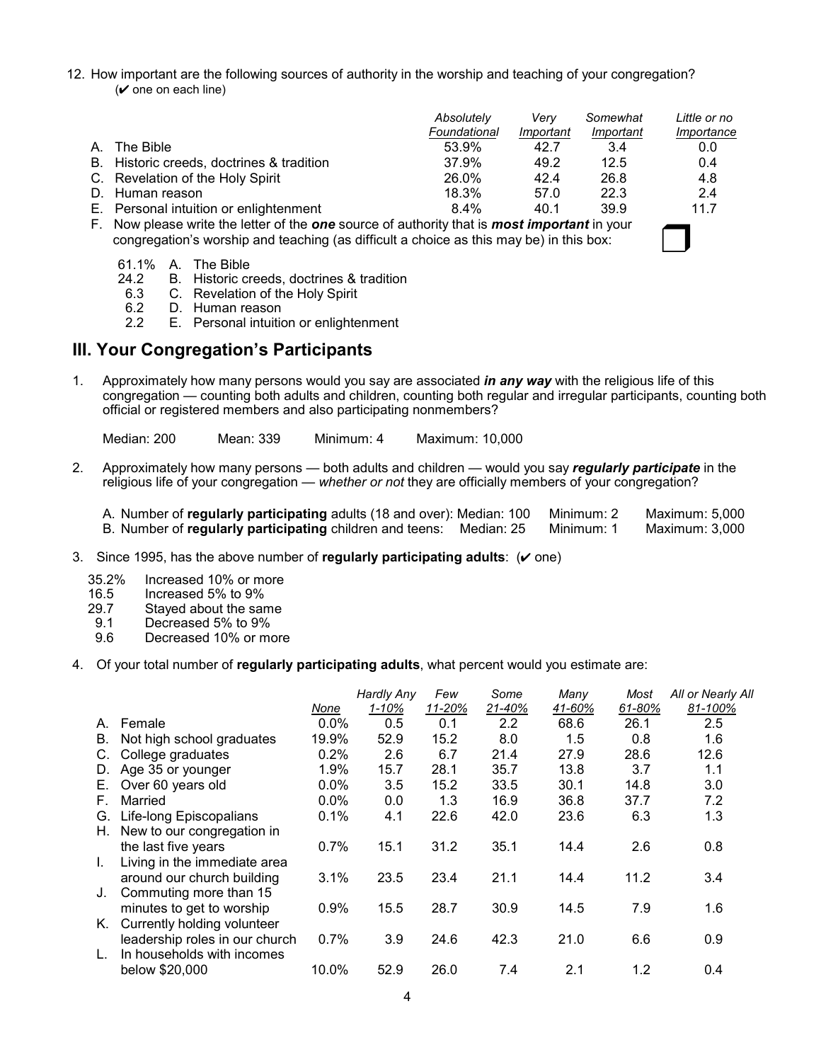12. How important are the following sources of authority in the worship and teaching of your congregation?  $(V$  one on each line)

|                                                                                                            | Absolutely<br>Foundational | Verv<br>Important | Somewhat<br>Important | Little or no<br>Importance |
|------------------------------------------------------------------------------------------------------------|----------------------------|-------------------|-----------------------|----------------------------|
| A. The Bible                                                                                               | 53.9%                      | 42.7              | 3.4                   | 0.0                        |
| B. Historic creeds, doctrines & tradition                                                                  | 37.9%                      | 49.2              | 12.5                  | 0.4                        |
| C. Revelation of the Holy Spirit                                                                           | 26.0%                      | 42.4              | 26.8                  | 4.8                        |
| D. Human reason                                                                                            | 18.3%                      | 57.0              | 22.3                  | 2.4                        |
| E. Personal intuition or enlightenment                                                                     | $8.4\%$                    | 40.1              | 39.9                  | 11.7                       |
| F. Now please write the letter of the <b>one</b> source of authority that is <b>most important</b> in your |                            |                   |                       |                            |

congregation's worship and teaching (as difficult a choice as this may be) in this box:

|  |  | 61.1% A. The Bible |
|--|--|--------------------|
|--|--|--------------------|

- 24.2 B. Historic creeds, doctrines & tradition
- 6.3 C. Revelation of the Holy Spirit 6.2 D. Human reason
- D. Human reason
- 2.2 E. Personal intuition or enlightenment

## **III. Your Congregation's Participants**

1. Approximately how many persons would you say are associated *in any way* with the religious life of this congregation — counting both adults and children, counting both regular and irregular participants, counting both official or registered members and also participating nonmembers?

Median: 200 Mean: 339 Minimum: 4 Maximum: 10,000

2. Approximately how many persons — both adults and children — would you say *regularly participate* in the religious life of your congregation — whether or not they are officially members of your congregation?

| A. Number of regularly participating adults (18 and over): Median: 100 | Minimum: 2 | Maximum: 5,000 |
|------------------------------------------------------------------------|------------|----------------|
| B. Number of regularly participating children and teens: Median: 25    | Minimum: 1 | Maximum: 3,000 |

- 3. Since 1995, has the above number of **regularly participating adults**:  $(V \text{ one})$ 
	- 35.2% Increased 10% or more
	-
	- 16.5 Increased 5% to 9%<br>29.7 Staved about the sar 29.7 Stayed about the same<br>9.1 Decreased 5% to 9%
	- Decreased 5% to 9%
	- 9.6 Decreased 10% or more
- 4. Of your total number of **regularly participating adults**, what percent would you estimate are:

|    |                                | None  | Hardly Any<br>1-10% | Few<br>11-20% | Some<br>21-40% | Many<br>41-60% | Most<br>61-80% | All or Nearly All<br>81-100% |
|----|--------------------------------|-------|---------------------|---------------|----------------|----------------|----------------|------------------------------|
| А. | Female                         | 0.0%  | 0.5                 | 0.1           | 2.2            | 68.6           | 26.1           | 2.5                          |
| В. | Not high school graduates      | 19.9% | 52.9                | 15.2          | 8.0            | 1.5            | 0.8            | 1.6                          |
| C. | College graduates              | 0.2%  | 2.6                 | 6.7           | 21.4           | 27.9           | 28.6           | 12.6                         |
| D. | Age 35 or younger              | 1.9%  | 15.7                | 28.1          | 35.7           | 13.8           | 3.7            | 1.1                          |
| Е. | Over 60 years old              | 0.0%  | 3.5                 | 15.2          | 33.5           | 30.1           | 14.8           | 3.0                          |
| F. | Married                        | 0.0%  | 0.0                 | 1.3           | 16.9           | 36.8           | 37.7           | 7.2                          |
| G. | Life-long Episcopalians        | 0.1%  | 4.1                 | 22.6          | 42.0           | 23.6           | 6.3            | 1.3                          |
| Н. | New to our congregation in     |       |                     |               |                |                |                |                              |
|    | the last five years            | 0.7%  | 15.1                | 31.2          | 35.1           | 14.4           | 2.6            | 0.8                          |
|    | Living in the immediate area   |       |                     |               |                |                |                |                              |
|    | around our church building     | 3.1%  | 23.5                | 23.4          | 21.1           | 14.4           | 11.2           | 3.4                          |
|    | Commuting more than 15         |       |                     |               |                |                |                |                              |
|    | minutes to get to worship      | 0.9%  | 15.5                | 28.7          | 30.9           | 14.5           | 7.9            | 1.6                          |
|    | Currently holding volunteer    |       |                     |               |                |                |                |                              |
|    | leadership roles in our church | 0.7%  | 3.9                 | 24.6          | 42.3           | 21.0           | 6.6            | 0.9                          |
|    | In households with incomes     |       |                     |               |                |                |                |                              |
|    | below \$20,000                 | 10.0% | 52.9                | 26.0          | 7.4            | 2.1            | 1.2            | 0.4                          |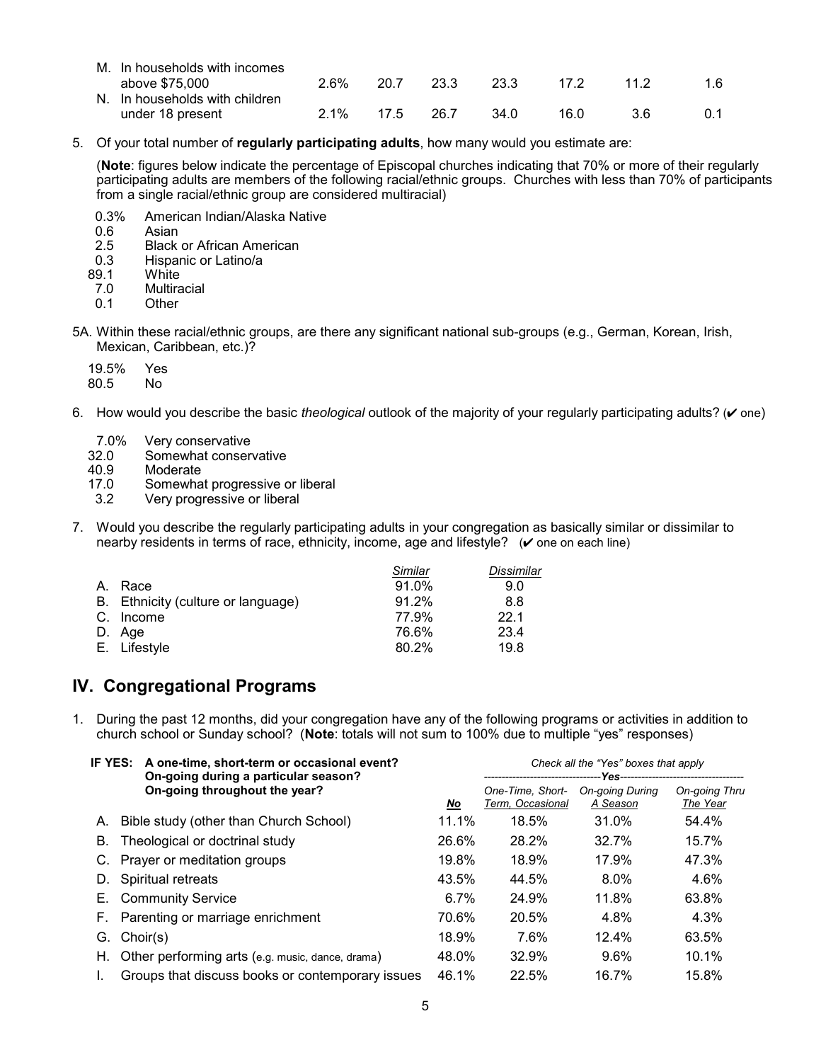| M. In households with incomes  |         |      |      |      |      |      |     |
|--------------------------------|---------|------|------|------|------|------|-----|
| above \$75,000                 | 2.6%    | 20.7 | 23.3 | 23.3 | 17.2 | 11.2 | 1.6 |
| N. In households with children |         |      |      |      |      |      |     |
| under 18 present               | $2.1\%$ | 17.5 | 26.7 | 34 O | 16.0 | 3.6  |     |

5. Of your total number of **regularly participating adults**, how many would you estimate are:

(**Note**: figures below indicate the percentage of Episcopal churches indicating that 70% or more of their regularly participating adults are members of the following racial/ethnic groups. Churches with less than 70% of participants from a single racial/ethnic group are considered multiracial)

- 0.3% American Indian/Alaska Native
- 0.6 Asian<br>2.5 Black
- 2.5 Black or African American<br>0.3 Hispanic or Latino/a
- 0.3 Hispanic or Latino/a<br>89.1 White
- 89.1 White<br>7.0 Multira
- 7.0 Multiracial<br>0.1 Other
- Other
- 5A. Within these racial/ethnic groups, are there any significant national sub-groups (e.g., German, Korean, Irish, Mexican, Caribbean, etc.)?
	- 19.5% Yes  $80.5$
- 6. How would you describe the basic *theological* outlook of the majority of your regularly participating adults? ( $\vee$  one)
	- 7.0% Very conservative
	- 32.0 Somewhat conservative
	- 40.9 Moderate
	- 17.0 Somewhat progressive or liberal
	- 3.2 Very progressive or liberal
- 7. Would you describe the regularly participating adults in your congregation as basically similar or dissimilar to nearby residents in terms of race, ethnicity, income, age and lifestyle?  $(v$  one on each line)

|    |                                    | Similar | Dissimilar |
|----|------------------------------------|---------|------------|
| A. | Race                               | 91.0%   | 9.0        |
|    | B. Ethnicity (culture or language) | 91.2%   | 8.8        |
|    | C. Income                          | 77.9%   | 22.1       |
|    | D. Age                             | 76.6%   | 23.4       |
|    | E. Lifestyle                       | 80.2%   | 19.8       |

# **IV. Congregational Programs**

1. During the past 12 months, did your congregation have any of the following programs or activities in addition to church school or Sunday school? (Note: totals will not sum to 100% due to multiple "yes" responses)

| IF YES: A one-time, short-term or occasional event?<br>On-going during a particular season? |         | Check all the "Yes" boxes that apply |                                    |                           |  |
|---------------------------------------------------------------------------------------------|---------|--------------------------------------|------------------------------------|---------------------------|--|
| On-going throughout the year?                                                               | No      | One-Time, Short-<br>Term, Occasional | <b>On-going During</b><br>A Season | On-going Thru<br>The Year |  |
| Bible study (other than Church School)<br>А.                                                | 11.1%   | 18.5%                                | 31.0%                              | 54.4%                     |  |
| Theological or doctrinal study<br>В.                                                        | 26.6%   | 28.2%                                | 32.7%                              | 15.7%                     |  |
| Prayer or meditation groups                                                                 | 19.8%   | 18.9%                                | 17.9%                              | 47.3%                     |  |
| Spiritual retreats<br>D.                                                                    | 43.5%   | 44.5%                                | $8.0\%$                            | 4.6%                      |  |
| E. Community Service                                                                        | $6.7\%$ | 24.9%                                | 11.8%                              | 63.8%                     |  |
| Parenting or marriage enrichment<br>F.                                                      | 70.6%   | 20.5%                                | 4.8%                               | 4.3%                      |  |
| Choir(s)<br>G.                                                                              | 18.9%   | 7.6%                                 | 12.4%                              | 63.5%                     |  |
| H. Other performing arts (e.g. music, dance, drama)                                         | 48.0%   | 32.9%                                | 9.6%                               | 10.1%                     |  |
| Groups that discuss books or contemporary issues                                            | 46.1%   | 22.5%                                | 16.7%                              | 15.8%                     |  |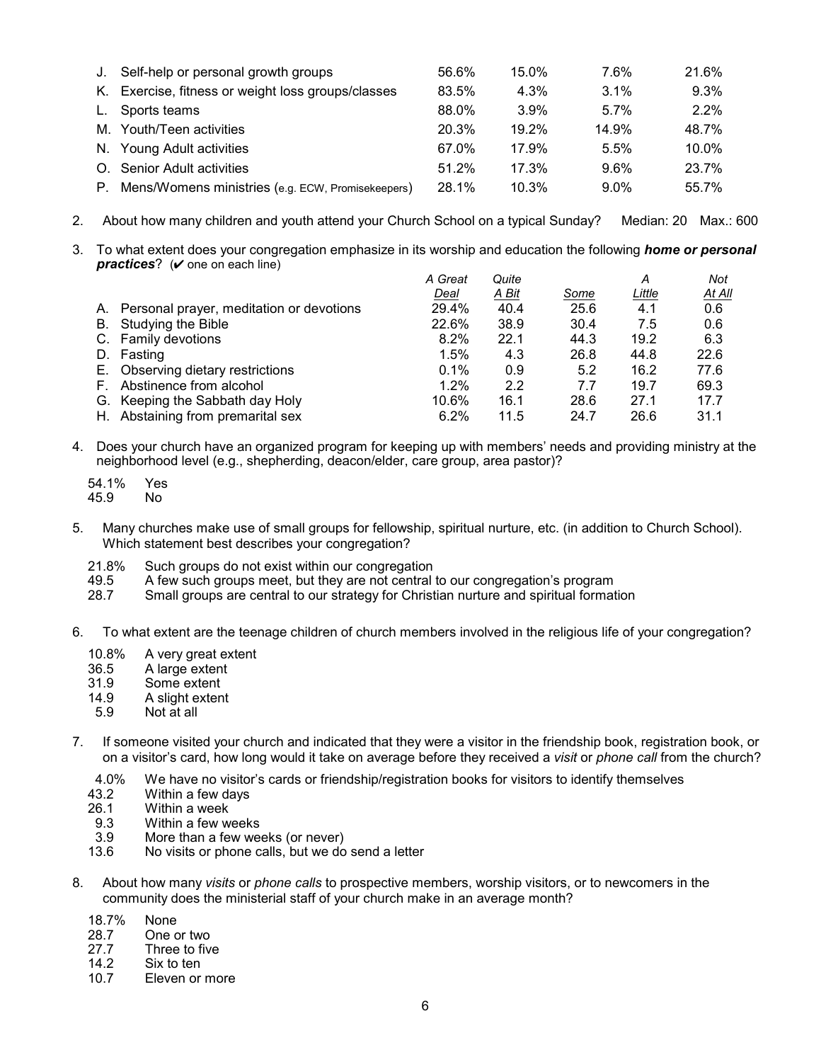| J. | Self-help or personal growth groups                | 56.6% | 15.0% | 7.6%    | 21.6% |
|----|----------------------------------------------------|-------|-------|---------|-------|
|    | K. Exercise, fitness or weight loss groups/classes | 83.5% | 4.3%  | $3.1\%$ | 9.3%  |
|    | L. Sports teams                                    | 88.0% | 3.9%  | $5.7\%$ | 2.2%  |
|    | M. Youth/Teen activities                           | 20.3% | 19.2% | 14.9%   | 48.7% |
|    | N. Young Adult activities                          | 67.0% | 17.9% | 5.5%    | 10.0% |
|    | O. Senior Adult activities                         | 51.2% | 17.3% | $9.6\%$ | 23.7% |
| Р. | Mens/Womens ministries (e.g. ECW, Promisekeepers)  | 28.1% | 10.3% | $9.0\%$ | 55.7% |

- 2. About how many children and youth attend your Church School on a typical Sunday? Median: 20 Max.: 600
- 3. To what extent does your congregation emphasize in its worship and education the following *home or personal*   $practices?$  ( $\vee$  one on each line)

|                                             | A Great | Quite |      | А      | Not    |
|---------------------------------------------|---------|-------|------|--------|--------|
|                                             | Deal    | A Bit | Some | Little | At All |
| A. Personal prayer, meditation or devotions | 29.4%   | 40.4  | 25.6 | 4.1    | 0.6    |
| B. Studying the Bible                       | 22.6%   | 38.9  | 30.4 | 7.5    | 0.6    |
| C. Family devotions                         | $8.2\%$ | 22.1  | 44.3 | 19.2   | 6.3    |
| Fasting                                     | 1.5%    | 4.3   | 26.8 | 44.8   | 22.6   |
| E. Observing dietary restrictions           | $0.1\%$ | 0.9   | 5.2  | 16.2   | 77.6   |
| F. Abstinence from alcohol                  | 1.2%    | 2.2   | 7.7  | 19.7   | 69.3   |
| G. Keeping the Sabbath day Holy             | 10.6%   | 16.1  | 28.6 | 27.1   | 17.7   |
| H. Abstaining from premarital sex           | 6.2%    | 11.5  | 24.7 | 26.6   | 31.1   |
|                                             |         |       |      |        |        |

- 4. Does your church have an organized program for keeping up with membersí needs and providing ministry at the neighborhood level (e.g., shepherding, deacon/elder, care group, area pastor)?
	- 54.1% Yes 45.9
- 5. Many churches make use of small groups for fellowship, spiritual nurture, etc. (in addition to Church School). Which statement best describes your congregation?
	- 21.8% Such groups do not exist within our congregation
	- 49.5 A few such groups meet, but they are not central to our congregation's program<br>28.7 Small groups are central to our strategy for Christian nurture and spiritual format
	- Small groups are central to our strategy for Christian nurture and spiritual formation
- 6. To what extent are the teenage children of church members involved in the religious life of your congregation?
	- 10.8% A very great extent
	- 36.5 A large extent
	- 31.9 Some extent
	- 14.9 A slight extent
	- 5.9 Not at all
- 7. If someone visited your church and indicated that they were a visitor in the friendship book, registration book, or on a visitorís card, how long would it take on average before they received a *visit* or *phone call* from the church?
	- 4.0% We have no visitor's cards or friendship/registration books for visitors to identify themselves<br>43.2 Within a few days
	- Within a few days
	- 26.1 Within a week
	- 9.3 Within a few weeks<br>3.9 More than a few wee
	- More than a few weeks (or never)
	- 13.6 No visits or phone calls, but we do send a letter
- 8. About how many *visits* or *phone calls* to prospective members, worship visitors, or to newcomers in the community does the ministerial staff of your church make in an average month?
	- 18.7% None
	- 28.7 One or two<br>27.7 Three to fiv
	- Three to five
	- 14.2 Six to ten<br>10.7 Fleven or
	- **Eleven or more**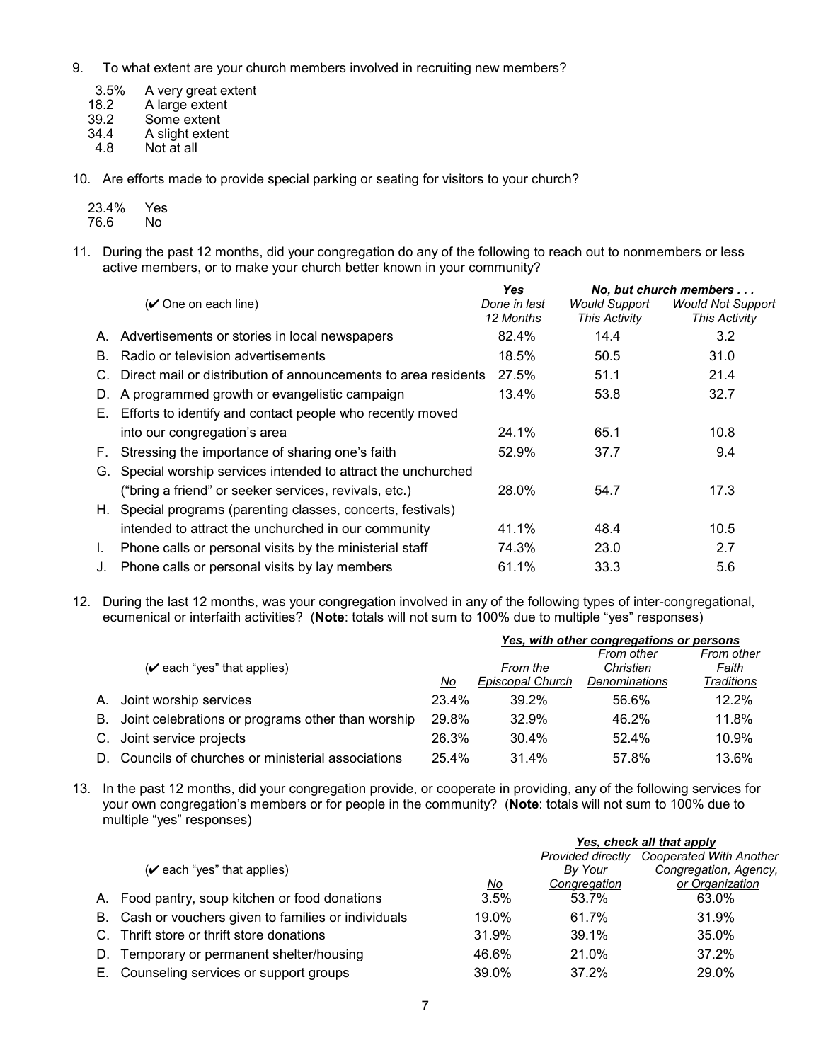- 9. To what extent are your church members involved in recruiting new members?
	- 3.5% A very great extent<br>18.2 A large extent
	- 18.2 A large extent<br>39.2 Some extent
	- 39.2 Some extent<br>34.4 A slight exten
	- 34.4 A slight extent<br>4.8 Not at all
	- Not at all
- 10. Are efforts made to provide special parking or seating for visitors to your church?

| 23.4% | Yes |
|-------|-----|
| 76.6  | Nο  |

11. During the past 12 months, did your congregation do any of the following to reach out to nonmembers or less active members, or to make your church better known in your community?

|    |                                                                | <b>Yes</b>                |                                              | No. but church members                    |
|----|----------------------------------------------------------------|---------------------------|----------------------------------------------|-------------------------------------------|
|    | (✔ One on each line)                                           | Done in last<br>12 Months | <b>Would Support</b><br><b>This Activity</b> | <b>Would Not Support</b><br>This Activity |
| А. | Advertisements or stories in local newspapers                  | 82.4%                     | 14.4                                         | 3.2                                       |
| B. | Radio or television advertisements                             | 18.5%                     | 50.5                                         | 31.0                                      |
|    | Direct mail or distribution of announcements to area residents | 27.5%                     | 51.1                                         | 21.4                                      |
| D. | A programmed growth or evangelistic campaign                   | $13.4\%$                  | 53.8                                         | 32.7                                      |
| Е. | Efforts to identify and contact people who recently moved      |                           |                                              |                                           |
|    | into our congregation's area                                   | 24.1%                     | 65.1                                         | 10.8                                      |
| F. | Stressing the importance of sharing one's faith                | 52.9%                     | 37.7                                         | 9.4                                       |
| G. | Special worship services intended to attract the unchurched    |                           |                                              |                                           |
|    | ("bring a friend" or seeker services, revivals, etc.)          | 28.0%                     | 54.7                                         | 17.3                                      |
|    | H. Special programs (parenting classes, concerts, festivals)   |                           |                                              |                                           |
|    | intended to attract the unchurched in our community            | 41.1%                     | 48.4                                         | 10.5                                      |
|    | Phone calls or personal visits by the ministerial staff        | 74.3%                     | 23.0                                         | 2.7                                       |
| J. | Phone calls or personal visits by lay members                  | 61.1%                     | 33.3                                         | 5.6                                       |

12. During the last 12 months, was your congregation involved in any of the following types of inter-congregational, ecumenical or interfaith activities? (Note: totals will not sum to 100% due to multiple "yes" responses)

|    |                                                   |       | Yes, with other congregations or persons |                         |                     |  |
|----|---------------------------------------------------|-------|------------------------------------------|-------------------------|---------------------|--|
|    | $(\vee$ each "yes" that applies)                  |       | From the                                 | From other<br>Christian | From other<br>Faith |  |
|    |                                                   | No    | Episcopal Church                         | <b>Denominations</b>    | <b>Traditions</b>   |  |
|    | A. Joint worship services                         | 23.4% | 39.2%                                    | 56.6%                   | 12.2%               |  |
| В. | Joint celebrations or programs other than worship | 29.8% | 32.9%                                    | 46.2%                   | 11.8%               |  |
|    | C. Joint service projects                         | 26.3% | 30.4%                                    | 52.4%                   | 10.9%               |  |
| D. | Councils of churches or ministerial associations  | 25.4% | 31.4%                                    | 57.8%                   | 13.6%               |  |

13. In the past 12 months, did your congregation provide, or cooperate in providing, any of the following services for your own congregationís members or for people in the community? (**Note**: totals will not sum to 100% due to multiple "yes" responses)

|  |                                                      |           | Yes, check all that apply |                         |  |
|--|------------------------------------------------------|-----------|---------------------------|-------------------------|--|
|  |                                                      |           | <b>Provided directly</b>  | Cooperated With Another |  |
|  | $(\vee$ each "yes" that applies)                     |           | By Your                   | Congregation, Agency,   |  |
|  |                                                      | <u>No</u> | Congregation              | or Organization         |  |
|  | A. Food pantry, soup kitchen or food donations       | 3.5%      | 53.7%                     | 63.0%                   |  |
|  | B. Cash or vouchers given to families or individuals | 19.0%     | 61.7%                     | 31.9%                   |  |
|  | C. Thrift store or thrift store donations            | 31.9%     | 39.1%                     | 35.0%                   |  |
|  | Temporary or permanent shelter/housing               | 46.6%     | 21.0%                     | 37.2%                   |  |
|  | E. Counseling services or support groups             | 39.0%     | 37.2%                     | 29.0%                   |  |
|  |                                                      |           |                           |                         |  |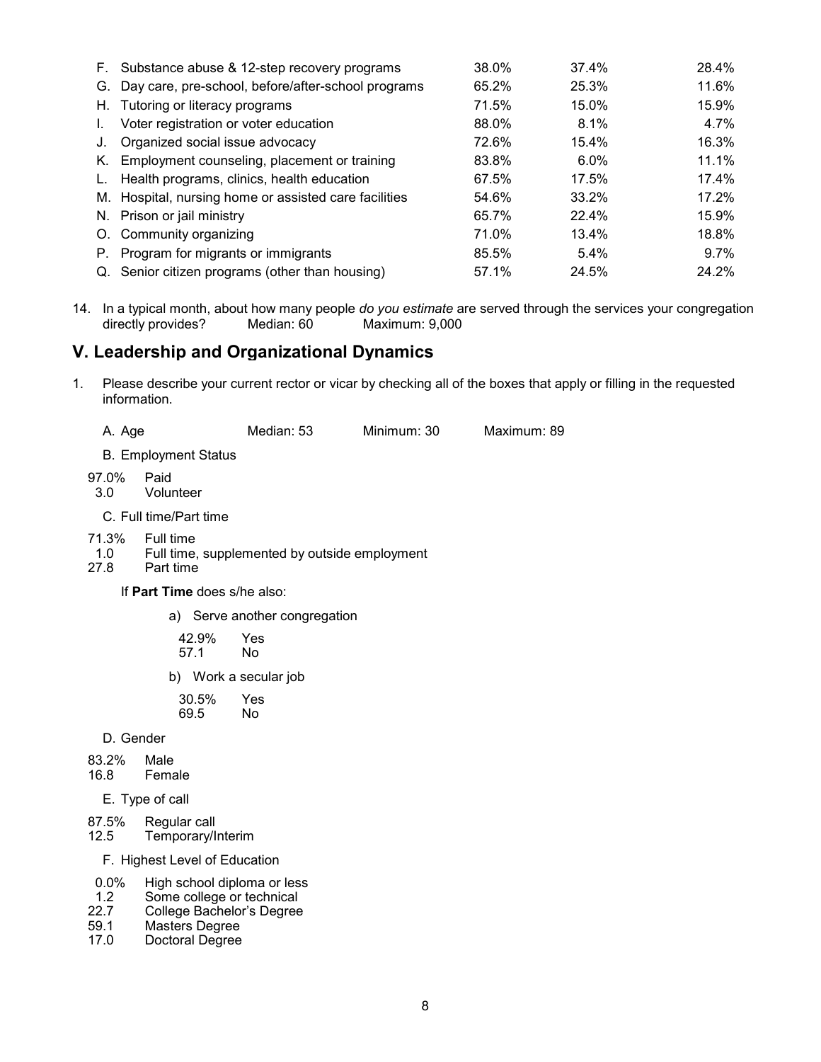|    | F. Substance abuse & 12-step recovery programs        | 38.0% | 37.4% | 28.4%    |
|----|-------------------------------------------------------|-------|-------|----------|
| G. | Day care, pre-school, before/after-school programs    | 65.2% | 25.3% | 11.6%    |
|    | H. Tutoring or literacy programs                      | 71.5% | 15.0% | 15.9%    |
| L. | Voter registration or voter education                 | 88.0% | 8.1%  | 4.7%     |
| J. | Organized social issue advocacy                       | 72.6% | 15.4% | 16.3%    |
|    | K. Employment counseling, placement or training       | 83.8% | 6.0%  | $11.1\%$ |
| L. | Health programs, clinics, health education            | 67.5% | 17.5% | 17.4%    |
|    | M. Hospital, nursing home or assisted care facilities | 54.6% | 33.2% | 17.2%    |
|    | N. Prison or jail ministry                            | 65.7% | 22.4% | 15.9%    |
| O. | Community organizing                                  | 71.0% | 13.4% | 18.8%    |
| Р. | Program for migrants or immigrants                    | 85.5% | 5.4%  | $9.7\%$  |
|    | Q. Senior citizen programs (other than housing)       | 57.1% | 24.5% | 24.2%    |

14. In a typical month, about how many people *do you estimate* are served through the services your congregation directly provides? Median: 60 Maximum: 9,000

# **V. Leadership and Organizational Dynamics**

1. Please describe your current rector or vicar by checking all of the boxes that apply or filling in the requested information.

A. Age Median: 53 Minimum: 30 Maximum: 89

- B. Employment Status
- 97.0% Paid
- 3.0 Volunteer
- C. Full time/Part time
- 71.3% Full time
- 1.0 Full time, supplemented by outside employment 27.8 Part time
- Part time
	- If **Part Time** does s/he also:
		- a) Serve another congregation

| 42.9% | Yes |
|-------|-----|
| 57.1  | No  |
|       |     |

b) Work a secular job

| 30.5% | Yes |
|-------|-----|
| 69.5  | No  |

- D. Gender
- 83.2% Male<br>16.8 Fema
- Female
	- E. Type of call
- 87.5% Regular call<br>12.5 Temporary/li 12.5 Temporary/Interim
	- F. Highest Level of Education
- 
- 0.0% High school diploma or less<br>1.2 Some college or technical 1.2 Some college or technical<br>22.7 College Bachelor's Degree
- 22.7 College Bachelor's Degree<br>59.1 Masters Degree
- 59.1 Masters Degree<br>17.0 Doctoral Degree
- Doctoral Degree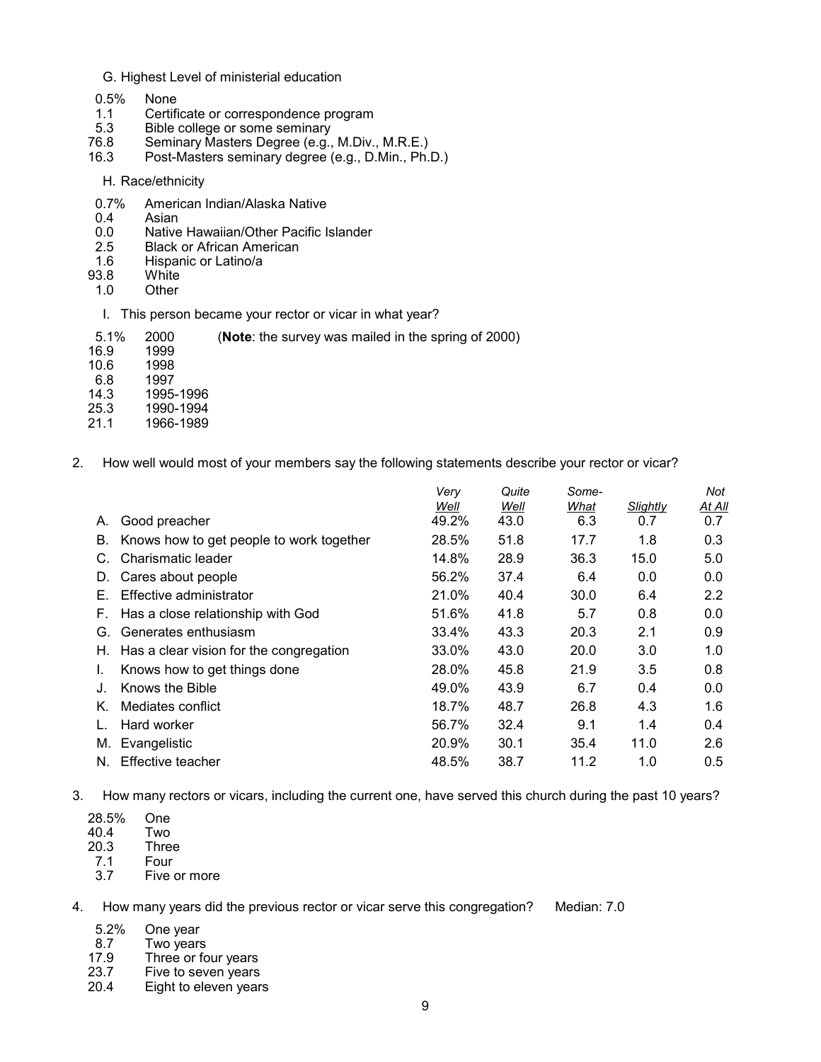#### G. Highest Level of ministerial education

- 0.5% None
- 1.1 Certificate or correspondence program<br>5.3 Bible college or some seminary
- 5.3 Bible college or some seminary<br>76.8 Seminary Masters Degree (e.g.,
- Seminary Masters Degree (e.g., M.Div., M.R.E.)
- 16.3 Post-Masters seminary degree (e.g., D.Min., Ph.D.)
	- H. Race/ethnicity
- 0.7% American Indian/Alaska Native<br>0.4 Asian
- 0.4 Asian<br>0.0 Native
- 0.0 Native Hawaiian/Other Pacific Islander<br>2.5 Black or African American
- 2.5 Black or African American<br>1.6 Hispanic or Latino/a
- Hispanic or Latino/a
- 93.8 White<br>1.0 Other
- Other
- I. This person became your rector or vicar in what year?

| 5.1% 2000 | (Note: the survey was mailed in the spring of 2000) |  |
|-----------|-----------------------------------------------------|--|

- 16.9 1999<br>10.6 1998
- $\frac{10.6}{6.8}$
- 1997
- 14.3 1995-1996
- 25.3 1990-1994
- 1966-1989
- 2. How well would most of your members say the following statements describe your rector or vicar?

|    |                                          | Verv<br>Well | Quite<br>Well | Some-<br>What | Slightly | Not<br>At All |
|----|------------------------------------------|--------------|---------------|---------------|----------|---------------|
| А. | Good preacher                            | 49.2%        | 43.0          | 6.3           | 0.7      | 0.7           |
| В. | Knows how to get people to work together | 28.5%        | 51.8          | 17.7          | 1.8      | 0.3           |
|    | Charismatic leader                       | 14.8%        | 28.9          | 36.3          | 15.0     | 5.0           |
| D. | Cares about people                       | 56.2%        | 37.4          | 6.4           | 0.0      | 0.0           |
| Е. | Effective administrator                  | 21.0%        | 40.4          | 30.0          | 6.4      | 2.2           |
| F. | Has a close relationship with God        | 51.6%        | 41.8          | 5.7           | 0.8      | 0.0           |
| G. | Generates enthusiasm                     | 33.4%        | 43.3          | 20.3          | 2.1      | 0.9           |
| Н. | Has a clear vision for the congregation  | 33.0%        | 43.0          | 20.0          | 3.0      | 1.0           |
|    | Knows how to get things done             | 28.0%        | 45.8          | 21.9          | 3.5      | 0.8           |
|    | Knows the Bible                          | 49.0%        | 43.9          | 6.7           | 0.4      | 0.0           |
| K. | Mediates conflict                        | 18.7%        | 48.7          | 26.8          | 4.3      | 1.6           |
|    | Hard worker                              | 56.7%        | 32.4          | 9.1           | 1.4      | 0.4           |
| М. | Evangelistic                             | 20.9%        | 30.1          | 35.4          | 11.0     | 2.6           |
| N. | Effective teacher                        | 48.5%        | 38.7          | 11.2          | 1.0      | 0.5           |
|    |                                          |              |               |               |          |               |

3. How many rectors or vicars, including the current one, have served this church during the past 10 years?

- 28.5% One
- $40.4$ <br> $20.3$
- 20.3 Three<br>7.1 Four **Four**
- 
- 3.7 Five or more

4. How many years did the previous rector or vicar serve this congregation? Median: 7.0

- 
- 5.2% One year<br>8.7 Two years
- 8.7 Two years<br>17.9 Three or fo Three or four years
- 23.7 Five to seven years<br>20.4 Eight to eleven year
- Eight to eleven years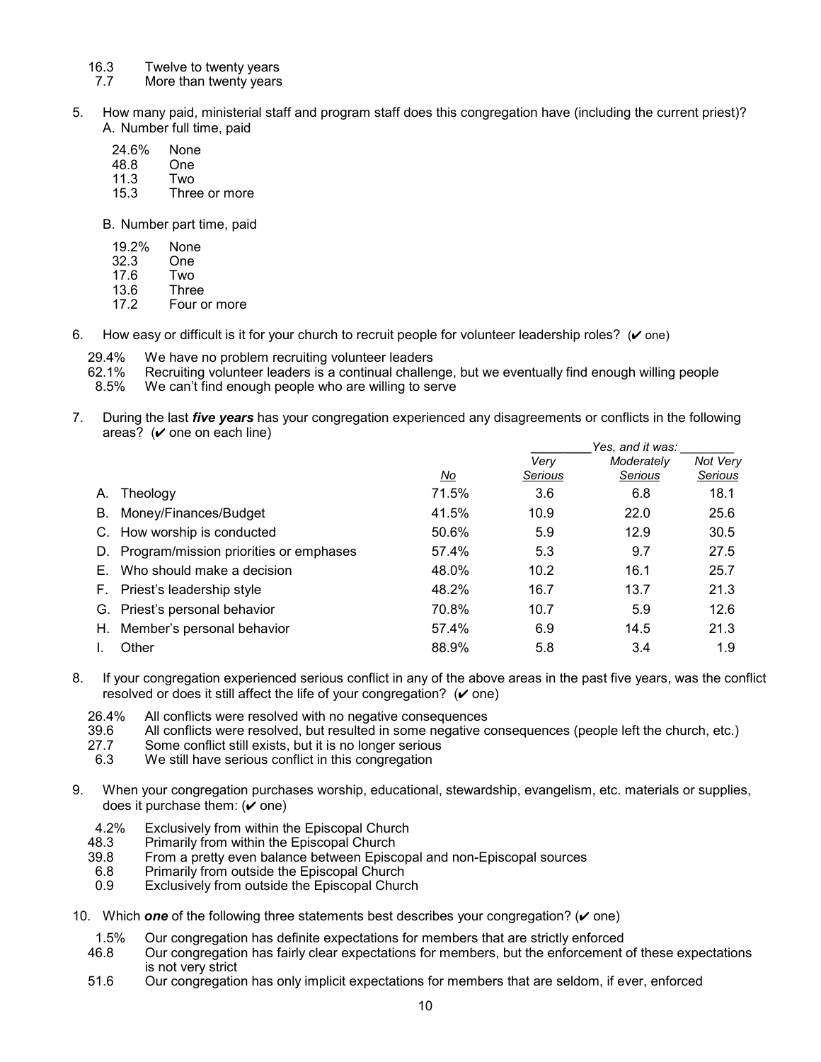- 16.3 Twelve to twenty years
- 7.7 More than twenty years
- 5. How many paid, ministerial staff and program staff does this congregation have (including the current priest)? A. Number full time, paid
	- 24.6% None<br>48.8 One
	- $48.8$
	- 11.3 Two<br>15.3 Thre
	- Three or more

B. Number part time, paid

- 19.2% None<br>32.3 One
- $32.3$
- 17.6 Two
- 13.6 Three<br>17.2 Four o
- Four or more
- 6. How easy or difficult is it for your church to recruit people for volunteer leadership roles?  $(V \text{ one})$ 
	- 29.4% We have no problem recruiting volunteer leaders
	- 62.1% Recruiting volunteer leaders is a continual challenge, but we eventually find enough willing people 6.5% We can't find enough people
	- We can't find enough people who are willing to serve
- 7. During the last *five years* has your congregation experienced any disagreements or conflicts in the following areas?  $(\vee)$  one on each line)

|    |                                        |       | Yes, and it was: |                       |                     |
|----|----------------------------------------|-------|------------------|-----------------------|---------------------|
|    |                                        | No    | Very<br>Serious  | Moderately<br>Serious | Not Very<br>Serious |
| А. | Theology                               | 71.5% | 3.6              | 6.8                   | 18.1                |
| В. | Money/Finances/Budget                  | 41.5% | 10.9             | 22.0                  | 25.6                |
|    | How worship is conducted               | 50.6% | 5.9              | 12.9                  | 30.5                |
| D. | Program/mission priorities or emphases | 57.4% | 5.3              | 9.7                   | 27.5                |
|    | Who should make a decision             | 48.0% | 10.2             | 16.1                  | 25.7                |
|    | F. Priest's leadership style           | 48.2% | 16.7             | 13.7                  | 21.3                |
| G. | Priest's personal behavior             | 70.8% | 10.7             | 5.9                   | 12.6                |
| Н. | Member's personal behavior             | 57.4% | 6.9              | 14.5                  | 21.3                |
|    | Other                                  | 88.9% | 5.8              | 3.4                   | 1.9                 |

- 8. If your congregation experienced serious conflict in any of the above areas in the past five years, was the conflict resolved or does it still affect the life of your congregation?  $(\vee$  one)
	- 26.4% All conflicts were resolved with no negative consequences<br>39.6 All conflicts were resolved, but resulted in some negative co
	- 39.6 All conflicts were resolved, but resulted in some negative consequences (people left the church, etc.)<br>27.7 Some conflict still exists, but it is no longer serious
	- 27.7 Some conflict still exists, but it is no longer serious<br>6.3 We still have serious conflict in this congregation
	- We still have serious conflict in this congregation
- 9. When your congregation purchases worship, educational, stewardship, evangelism, etc. materials or supplies, does it purchase them:  $(v$  one)
	- 4.2% Exclusively from within the Episcopal Church
	- 48.3 Primarily from within the Episcopal Church<br>39.8 From a pretty even balance between Episc
	- 9.8 From a pretty even balance between Episcopal and non-Episcopal sources<br>6.8 Primarily from outside the Episcopal Church
	- Primarily from outside the Episcopal Church
	- 0.9 Exclusively from outside the Episcopal Church
- 10. Which **one** of the following three statements best describes your congregation? ( $\vee$  one)
	- 1.5% Our congregation has definite expectations for members that are strictly enforced<br>46.8 Our congregation has fairly clear expectations for members, but the enforcement
	- Our congregation has fairly clear expectations for members, but the enforcement of these expectations is not very strict
	- 51.6 Our congregation has only implicit expectations for members that are seldom, if ever, enforced